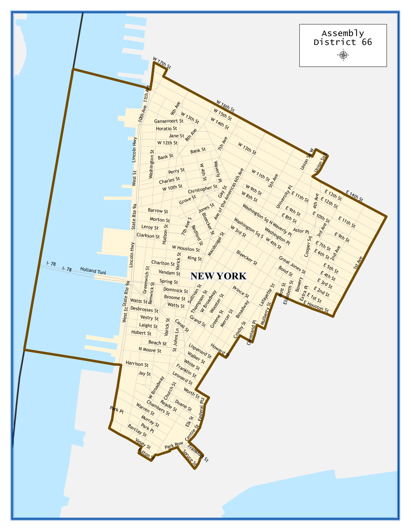